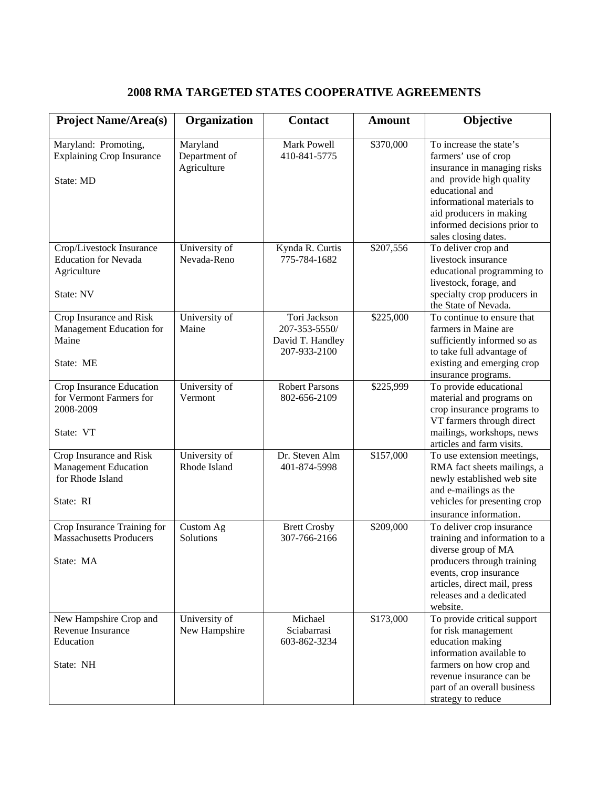## **2008 RMA TARGETED STATES COOPERATIVE AGREEMENTS**

| <b>Project Name/Area(s)</b>                                                             | Organization                             | <b>Contact</b>                                                    | <b>Amount</b> | Objective                                                                                                                                                                                                                                     |
|-----------------------------------------------------------------------------------------|------------------------------------------|-------------------------------------------------------------------|---------------|-----------------------------------------------------------------------------------------------------------------------------------------------------------------------------------------------------------------------------------------------|
| Maryland: Promoting,<br><b>Explaining Crop Insurance</b><br>State: MD                   | Maryland<br>Department of<br>Agriculture | Mark Powell<br>410-841-5775                                       | \$370,000     | To increase the state's<br>farmers' use of crop<br>insurance in managing risks<br>and provide high quality<br>educational and<br>informational materials to<br>aid producers in making<br>informed decisions prior to<br>sales closing dates. |
| Crop/Livestock Insurance<br><b>Education for Nevada</b><br>Agriculture<br>State: NV     | University of<br>Nevada-Reno             | Kynda R. Curtis<br>775-784-1682                                   | \$207,556     | To deliver crop and<br>livestock insurance<br>educational programming to<br>livestock, forage, and<br>specialty crop producers in<br>the State of Nevada.                                                                                     |
| Crop Insurance and Risk<br>Management Education for<br>Maine<br>State: ME               | University of<br>Maine                   | Tori Jackson<br>207-353-5550/<br>David T. Handley<br>207-933-2100 | \$225,000     | To continue to ensure that<br>farmers in Maine are<br>sufficiently informed so as<br>to take full advantage of<br>existing and emerging crop<br>insurance programs.                                                                           |
| Crop Insurance Education<br>for Vermont Farmers for<br>2008-2009<br>State: VT           | University of<br>Vermont                 | <b>Robert Parsons</b><br>802-656-2109                             | \$225,999     | To provide educational<br>material and programs on<br>crop insurance programs to<br>VT farmers through direct<br>mailings, workshops, news<br>articles and farm visits.                                                                       |
| Crop Insurance and Risk<br><b>Management Education</b><br>for Rhode Island<br>State: RI | University of<br>Rhode Island            | Dr. Steven Alm<br>401-874-5998                                    | \$157,000     | To use extension meetings,<br>RMA fact sheets mailings, a<br>newly established web site<br>and e-mailings as the<br>vehicles for presenting crop<br>insurance information.                                                                    |
| Crop Insurance Training for<br><b>Massachusetts Producers</b><br>State: MA              | Custom Ag<br>Solutions                   | <b>Brett Crosby</b><br>307-766-2166                               | \$209,000     | To deliver crop insurance<br>training and information to a<br>diverse group of MA<br>producers through training<br>events, crop insurance<br>articles, direct mail, press<br>releases and a dedicated<br>website.                             |
| New Hampshire Crop and<br>Revenue Insurance<br>Education<br>State: NH                   | University of<br>New Hampshire           | Michael<br>Sciabarrasi<br>603-862-3234                            | \$173,000     | To provide critical support<br>for risk management<br>education making<br>information available to<br>farmers on how crop and<br>revenue insurance can be<br>part of an overall business<br>strategy to reduce                                |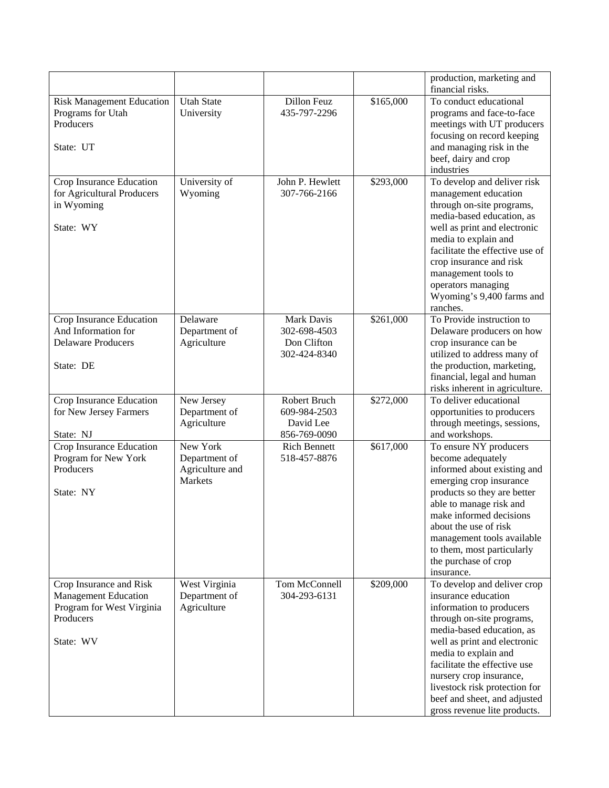|                                  |                   |                     |           | production, marketing and                                     |
|----------------------------------|-------------------|---------------------|-----------|---------------------------------------------------------------|
| <b>Risk Management Education</b> | <b>Utah State</b> | Dillon Feuz         | \$165,000 | financial risks.<br>To conduct educational                    |
| Programs for Utah                | University        | 435-797-2296        |           | programs and face-to-face                                     |
| Producers                        |                   |                     |           | meetings with UT producers                                    |
|                                  |                   |                     |           | focusing on record keeping                                    |
| State: UT                        |                   |                     |           | and managing risk in the                                      |
|                                  |                   |                     |           | beef, dairy and crop                                          |
|                                  |                   |                     |           | industries                                                    |
| Crop Insurance Education         | University of     | John P. Hewlett     | \$293,000 | To develop and deliver risk                                   |
| for Agricultural Producers       | Wyoming           | 307-766-2166        |           | management education                                          |
| in Wyoming                       |                   |                     |           | through on-site programs,                                     |
|                                  |                   |                     |           | media-based education, as                                     |
| State: WY                        |                   |                     |           | well as print and electronic                                  |
|                                  |                   |                     |           | media to explain and                                          |
|                                  |                   |                     |           | facilitate the effective use of                               |
|                                  |                   |                     |           | crop insurance and risk                                       |
|                                  |                   |                     |           | management tools to                                           |
|                                  |                   |                     |           | operators managing                                            |
|                                  |                   |                     |           | Wyoming's 9,400 farms and                                     |
|                                  |                   |                     |           | ranches.                                                      |
| Crop Insurance Education         | Delaware          | Mark Davis          | \$261,000 | To Provide instruction to                                     |
| And Information for              | Department of     | 302-698-4503        |           | Delaware producers on how                                     |
| <b>Delaware Producers</b>        | Agriculture       | Don Clifton         |           | crop insurance can be                                         |
|                                  |                   | 302-424-8340        |           | utilized to address many of                                   |
| State: DE                        |                   |                     |           | the production, marketing,                                    |
|                                  |                   |                     |           | financial, legal and human<br>risks inherent in agriculture.  |
| Crop Insurance Education         | New Jersey        | Robert Bruch        | \$272,000 | To deliver educational                                        |
| for New Jersey Farmers           | Department of     | 609-984-2503        |           | opportunities to producers                                    |
|                                  | Agriculture       | David Lee           |           | through meetings, sessions,                                   |
| State: NJ                        |                   | 856-769-0090        |           | and workshops.                                                |
| Crop Insurance Education         | New York          | <b>Rich Bennett</b> | \$617,000 | To ensure NY producers                                        |
| Program for New York             | Department of     | 518-457-8876        |           | become adequately                                             |
| Producers                        | Agriculture and   |                     |           | informed about existing and                                   |
|                                  | Markets           |                     |           | emerging crop insurance                                       |
| State: NY                        |                   |                     |           | products so they are better                                   |
|                                  |                   |                     |           | able to manage risk and                                       |
|                                  |                   |                     |           | make informed decisions                                       |
|                                  |                   |                     |           | about the use of risk                                         |
|                                  |                   |                     |           | management tools available                                    |
|                                  |                   |                     |           | to them, most particularly                                    |
|                                  |                   |                     |           | the purchase of crop                                          |
|                                  |                   |                     |           | insurance.                                                    |
| Crop Insurance and Risk          | West Virginia     | Tom McConnell       | \$209,000 | To develop and deliver crop                                   |
| <b>Management Education</b>      | Department of     | 304-293-6131        |           | insurance education                                           |
| Program for West Virginia        | Agriculture       |                     |           | information to producers                                      |
| Producers                        |                   |                     |           | through on-site programs,                                     |
|                                  |                   |                     |           | media-based education, as                                     |
| State: WV                        |                   |                     |           | well as print and electronic<br>media to explain and          |
|                                  |                   |                     |           | facilitate the effective use                                  |
|                                  |                   |                     |           | nursery crop insurance,                                       |
|                                  |                   |                     |           |                                                               |
|                                  |                   |                     |           |                                                               |
|                                  |                   |                     |           | livestock risk protection for<br>beef and sheet, and adjusted |